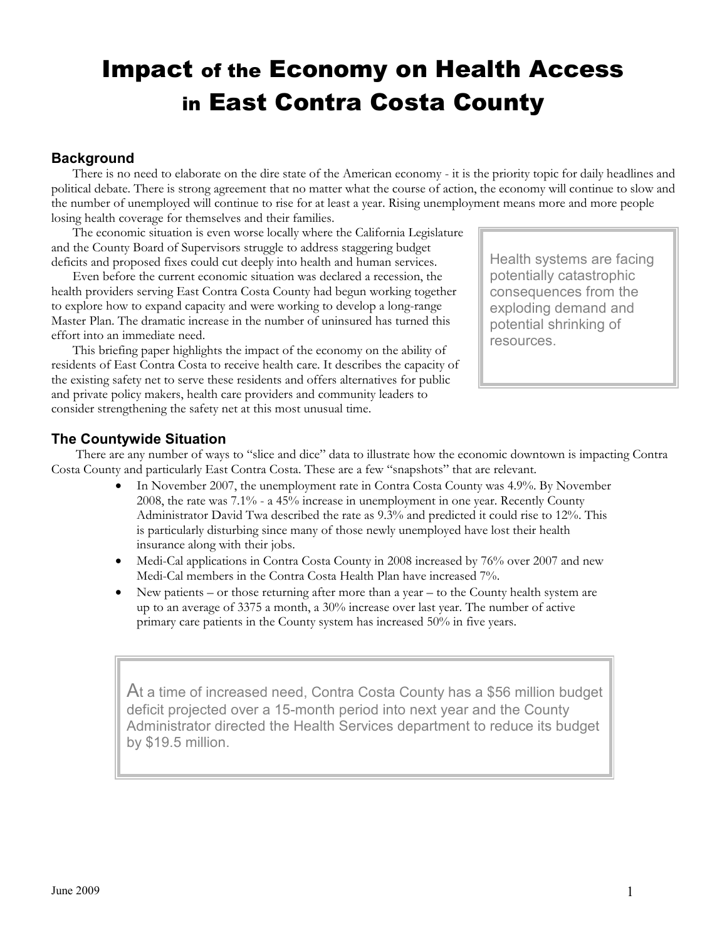# Impact of the Economy on Health Access in East Contra Costa County

#### **Background**

There is no need to elaborate on the dire state of the American economy - it is the priority topic for daily headlines and political debate. There is strong agreement that no matter what the course of action, the economy will continue to slow and the number of unemployed will continue to rise for at least a year. Rising unemployment means more and more people losing health coverage for themselves and their families.

The economic situation is even worse locally where the California Legislature and the County Board of Supervisors struggle to address staggering budget deficits and proposed fixes could cut deeply into health and human services.

Even before the current economic situation was declared a recession, the health providers serving East Contra Costa County had begun working together to explore how to expand capacity and were working to develop a long-range Master Plan. The dramatic increase in the number of uninsured has turned this effort into an immediate need.

This briefing paper highlights the impact of the economy on the ability of residents of East Contra Costa to receive health care. It describes the capacity of the existing safety net to serve these residents and offers alternatives for public and private policy makers, health care providers and community leaders to consider strengthening the safety net at this most unusual time.

Health systems are facing potentially catastrophic consequences from the exploding demand and potential shrinking of resources.

#### The Countywide Situation

 There are any number of ways to "slice and dice" data to illustrate how the economic downtown is impacting Contra Costa County and particularly East Contra Costa. These are a few "snapshots" that are relevant.

- In November 2007, the unemployment rate in Contra Costa County was 4.9%. By November 2008, the rate was 7.1% - a 45% increase in unemployment in one year. Recently County Administrator David Twa described the rate as 9.3% and predicted it could rise to 12%. This is particularly disturbing since many of those newly unemployed have lost their health insurance along with their jobs.
- Medi-Cal applications in Contra Costa County in 2008 increased by 76% over 2007 and new Medi-Cal members in the Contra Costa Health Plan have increased 7%.
- New patients or those returning after more than a year to the County health system are up to an average of 3375 a month, a 30% increase over last year. The number of active primary care patients in the County system has increased 50% in five years.

At a time of increased need, Contra Costa County has a \$56 million budget deficit projected over a 15-month period into next year and the County Administrator directed the Health Services department to reduce its budget by \$19.5 million.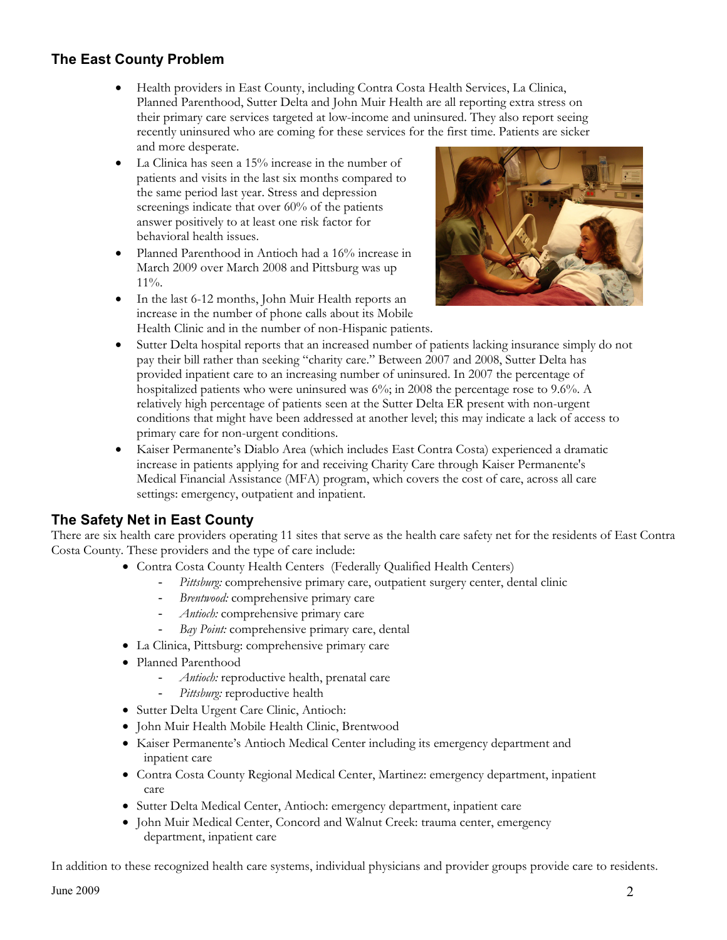# The East County Problem

- Health providers in East County, including Contra Costa Health Services, La Clinica, Planned Parenthood, Sutter Delta and John Muir Health are all reporting extra stress on their primary care services targeted at low-income and uninsured. They also report seeing recently uninsured who are coming for these services for the first time. Patients are sicker and more desperate.
- La Clinica has seen a 15% increase in the number of patients and visits in the last six months compared to the same period last year. Stress and depression screenings indicate that over 60% of the patients answer positively to at least one risk factor for behavioral health issues.
- Planned Parenthood in Antioch had a 16% increase in March 2009 over March 2008 and Pittsburg was up 11%.
- In the last 6-12 months, John Muir Health reports an increase in the number of phone calls about its Mobile Health Clinic and in the number of non-Hispanic patients.



- Sutter Delta hospital reports that an increased number of patients lacking insurance simply do not pay their bill rather than seeking "charity care." Between 2007 and 2008, Sutter Delta has provided inpatient care to an increasing number of uninsured. In 2007 the percentage of hospitalized patients who were uninsured was 6%; in 2008 the percentage rose to 9.6%. A relatively high percentage of patients seen at the Sutter Delta ER present with non-urgent conditions that might have been addressed at another level; this may indicate a lack of access to primary care for non-urgent conditions.
- Kaiser Permanente's Diablo Area (which includes East Contra Costa) experienced a dramatic increase in patients applying for and receiving Charity Care through Kaiser Permanente's Medical Financial Assistance (MFA) program, which covers the cost of care, across all care settings: emergency, outpatient and inpatient.

## The Safety Net in East County

There are six health care providers operating 11 sites that serve as the health care safety net for the residents of East Contra Costa County. These providers and the type of care include:

- Contra Costa County Health Centers (Federally Qualified Health Centers)
	- Pittsburg: comprehensive primary care, outpatient surgery center, dental clinic
	- Brentwood: comprehensive primary care
	- Antioch: comprehensive primary care
	- Bay Point: comprehensive primary care, dental
- La Clinica, Pittsburg: comprehensive primary care
- Planned Parenthood
	- Antioch: reproductive health, prenatal care
	- Pittsburg: reproductive health
- Sutter Delta Urgent Care Clinic, Antioch:
- John Muir Health Mobile Health Clinic, Brentwood
- Kaiser Permanente's Antioch Medical Center including its emergency department and inpatient care
- Contra Costa County Regional Medical Center, Martinez: emergency department, inpatient care
- Sutter Delta Medical Center, Antioch: emergency department, inpatient care
- John Muir Medical Center, Concord and Walnut Creek: trauma center, emergency department, inpatient care

In addition to these recognized health care systems, individual physicians and provider groups provide care to residents.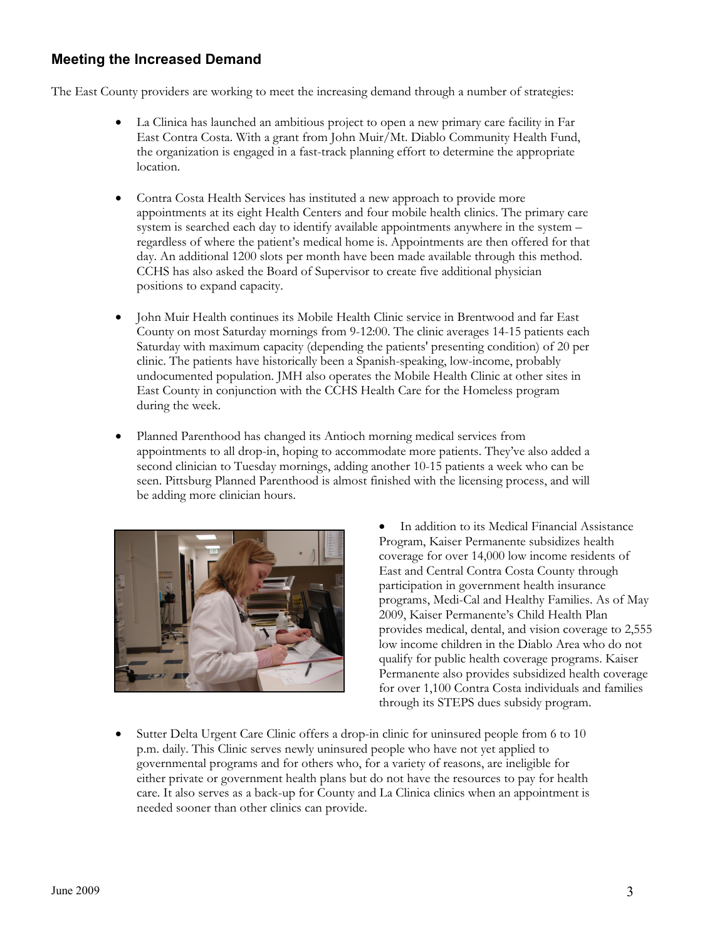## Meeting the Increased Demand

The East County providers are working to meet the increasing demand through a number of strategies:

- La Clinica has launched an ambitious project to open a new primary care facility in Far East Contra Costa. With a grant from John Muir/Mt. Diablo Community Health Fund, the organization is engaged in a fast-track planning effort to determine the appropriate location.
- Contra Costa Health Services has instituted a new approach to provide more appointments at its eight Health Centers and four mobile health clinics. The primary care system is searched each day to identify available appointments anywhere in the system – regardless of where the patient's medical home is. Appointments are then offered for that day. An additional 1200 slots per month have been made available through this method. CCHS has also asked the Board of Supervisor to create five additional physician positions to expand capacity.
- John Muir Health continues its Mobile Health Clinic service in Brentwood and far East County on most Saturday mornings from 9-12:00. The clinic averages 14-15 patients each Saturday with maximum capacity (depending the patients' presenting condition) of 20 per clinic. The patients have historically been a Spanish-speaking, low-income, probably undocumented population. JMH also operates the Mobile Health Clinic at other sites in East County in conjunction with the CCHS Health Care for the Homeless program during the week.
- Planned Parenthood has changed its Antioch morning medical services from appointments to all drop-in, hoping to accommodate more patients. They've also added a second clinician to Tuesday mornings, adding another 10-15 patients a week who can be seen. Pittsburg Planned Parenthood is almost finished with the licensing process, and will be adding more clinician hours.



- In addition to its Medical Financial Assistance Program, Kaiser Permanente subsidizes health coverage for over 14,000 low income residents of East and Central Contra Costa County through participation in government health insurance programs, Medi-Cal and Healthy Families. As of May 2009, Kaiser Permanente's Child Health Plan provides medical, dental, and vision coverage to 2,555 low income children in the Diablo Area who do not qualify for public health coverage programs. Kaiser Permanente also provides subsidized health coverage for over 1,100 Contra Costa individuals and families through its STEPS dues subsidy program.
- Sutter Delta Urgent Care Clinic offers a drop-in clinic for uninsured people from 6 to 10 p.m. daily. This Clinic serves newly uninsured people who have not yet applied to governmental programs and for others who, for a variety of reasons, are ineligible for either private or government health plans but do not have the resources to pay for health care. It also serves as a back-up for County and La Clinica clinics when an appointment is needed sooner than other clinics can provide.